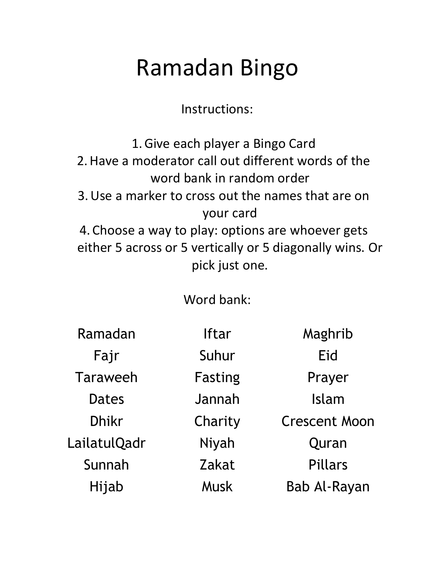Instructions:

1.Give each player a Bingo Card 2.Have a moderator call out different words of the word bank in random order 3.Use a marker to cross out the names that are on your card 4. Choose a way to play: options are whoever gets either 5 across or 5 vertically or 5 diagonally wins. Or pick just one.

Word bank:

| Ramadan         | <b>Iftar</b> | Maghrib              |
|-----------------|--------------|----------------------|
| Fajr            | Suhur        | Eid                  |
| <b>Taraweeh</b> | Fasting      | Prayer               |
| <b>Dates</b>    | Jannah       | Islam                |
| <b>Dhikr</b>    | Charity      | <b>Crescent Moon</b> |
| LailatulQadr    | Niyah        | Quran                |
| Sunnah          | Zakat        | <b>Pillars</b>       |
| Hijab           | Musk         | <b>Bab Al-Rayan</b>  |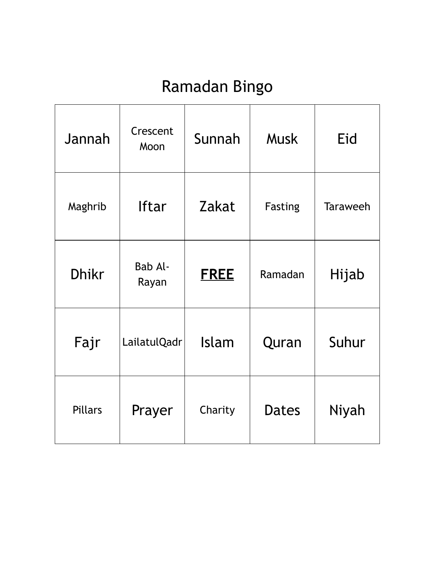| Jannah       | Crescent<br>Moon | Sunnah       | <b>Musk</b>  | Eid             |
|--------------|------------------|--------------|--------------|-----------------|
| Maghrib      | <b>Iftar</b>     | Zakat        | Fasting      | <b>Taraweeh</b> |
| <b>Dhikr</b> | Bab Al-<br>Rayan | <b>FREE</b>  | Ramadan      | Hijab           |
| Fajr         | LailatulQadr     | <b>Islam</b> | Quran        | Suhur           |
| Pillars      | Prayer           | Charity      | <b>Dates</b> | Niyah           |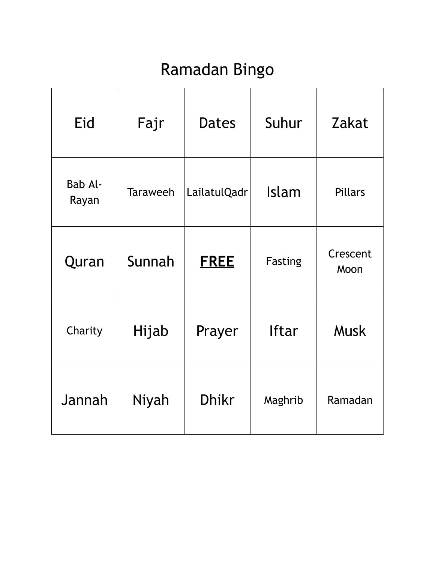| Eid              | Fajr            | Dates        | Suhur        | Zakat            |
|------------------|-----------------|--------------|--------------|------------------|
| Bab Al-<br>Rayan | <b>Taraweeh</b> | LailatulQadr | Islam        | <b>Pillars</b>   |
| Quran            | Sunnah          | <u>FREE</u>  | Fasting      | Crescent<br>Moon |
| Charity          | Hijab           | Prayer       | <b>Iftar</b> | <b>Musk</b>      |
| Jannah           | Niyah           | <b>Dhikr</b> | Maghrib      | Ramadan          |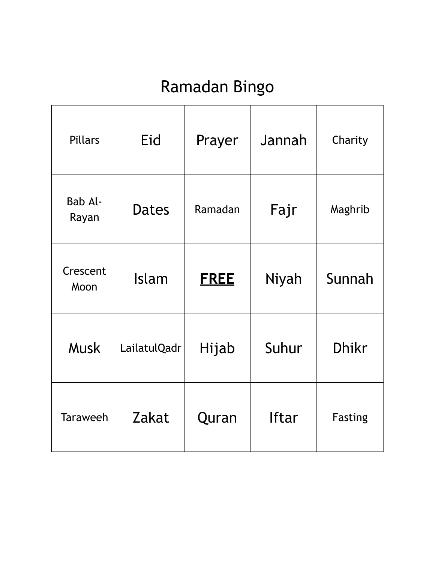| Pillars          | Eid          | Prayer      | Jannah       | Charity        |
|------------------|--------------|-------------|--------------|----------------|
| Bab Al-<br>Rayan | <b>Dates</b> | Ramadan     | Fajr         | Maghrib        |
| Crescent<br>Moon | <b>Islam</b> | <u>FREE</u> | Niyah        | Sunnah         |
| <b>Musk</b>      | LailatulQadr | Hijab       | Suhur        | <b>Dhikr</b>   |
| <b>Taraweeh</b>  | Zakat        | Quran       | <b>Iftar</b> | <b>Fasting</b> |